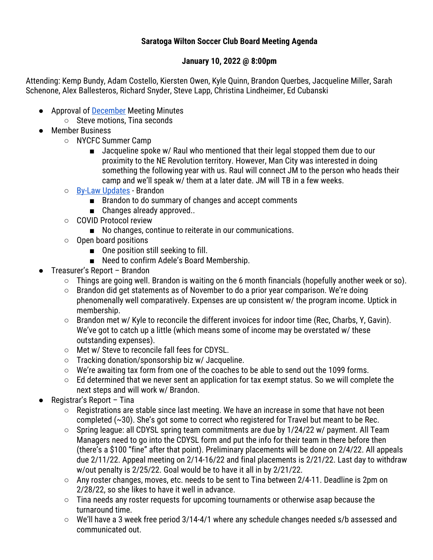## **Saratoga Wilton Soccer Club Board Meeting Agenda**

## **January 10, 2022 @ 8:00pm**

Attending: Kemp Bundy, Adam Costello, Kiersten Owen, Kyle Quinn, Brandon Querbes, Jacqueline Miller, Sarah Schenone, Alex Ballesteros, Richard Snyder, Steve Lapp, Christina Lindheimer, Ed Cubanski

- Approval of December Meeting Minutes
	- Steve motions, Tina seconds
- Member Business
	- NYCFC Summer Camp
		- Jacqueline spoke w/ Raul who mentioned that their legal stopped them due to our proximity to the NE Revolution territory. However, Man City was interested in doing something the following year with us. Raul will connect JM to the person who heads their camp and we'll speak w/ them at a later date. JM will TB in a few weeks.
	- By-Law Updates Brandon
		- Brandon to do summary of changes and accept comments
		- Changes already approved..
	- COVID Protocol review
		- No changes, continue to reiterate in our communications.
	- Open board positions
		- One position still seeking to fill.
		- Need to confirm Adele's Board Membership.
- Treasurer's Report Brandon
	- $\circ$  Things are going well. Brandon is waiting on the 6 month financials (hopefully another week or so).
	- Brandon did get statements as of November to do a prior year comparison. We're doing phenomenally well comparatively. Expenses are up consistent w/ the program income. Uptick in membership.
	- $\circ$  Brandon met w/ Kyle to reconcile the different invoices for indoor time (Rec, Charbs, Y, Gavin). We've got to catch up a little (which means some of income may be overstated w/ these outstanding expenses).
	- Met w/ Steve to reconcile fall fees for CDYSL.
	- Tracking donation/sponsorship biz w/ Jacqueline.
	- We're awaiting tax form from one of the coaches to be able to send out the 1099 forms.
	- Ed determined that we never sent an application for tax exempt status. So we will complete the next steps and will work w/ Brandon.
- Registrar's Report Tina
	- Registrations are stable since last meeting. We have an increase in some that have not been completed (~30). She's got some to correct who registered for Travel but meant to be Rec.
	- Spring league: all CDYSL spring team commitments are due by 1/24/22 w/ payment. All Team Managers need to go into the CDYSL form and put the info for their team in there before then (there's a \$100 "fine" after that point). Preliminary placements will be done on 2/4/22. All appeals due 2/11/22. Appeal meeting on 2/14-16/22 and final placements is 2/21/22. Last day to withdraw w/out penalty is 2/25/22. Goal would be to have it all in by 2/21/22.
	- Any roster changes, moves, etc. needs to be sent to Tina between 2/4-11. Deadline is 2pm on 2/28/22, so she likes to have it well in advance.
	- Tina needs any roster requests for upcoming tournaments or otherwise asap because the turnaround time.
	- We'll have a 3 week free period 3/14-4/1 where any schedule changes needed s/b assessed and communicated out.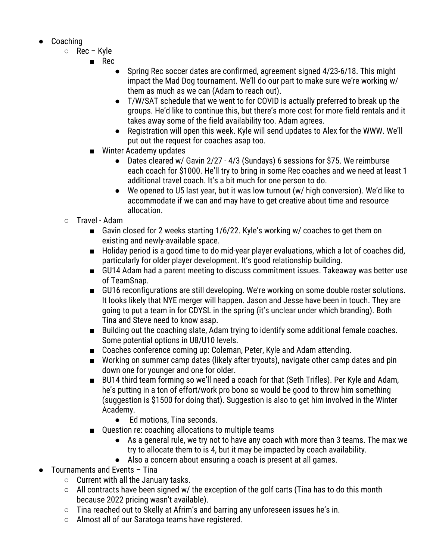- Coaching
	- Rec Kyle
		- Rec
			- Spring Rec soccer dates are confirmed, agreement signed 4/23-6/18. This might impact the Mad Dog tournament. We'll do our part to make sure we're working w/ them as much as we can (Adam to reach out).
			- T/W/SAT schedule that we went to for COVID is actually preferred to break up the groups. He'd like to continue this, but there's more cost for more field rentals and it takes away some of the field availability too. Adam agrees.
			- Registration will open this week. Kyle will send updates to Alex for the WWW. We'll put out the request for coaches asap too.
		- Winter Academy updates
			- Dates cleared w/ Gavin 2/27 4/3 (Sundays) 6 sessions for \$75. We reimburse each coach for \$1000. He'll try to bring in some Rec coaches and we need at least 1 additional travel coach. It's a bit much for one person to do.
			- We opened to U5 last year, but it was low turnout (w/ high conversion). We'd like to accommodate if we can and may have to get creative about time and resource allocation.
	- Travel Adam
		- Gavin closed for 2 weeks starting 1/6/22. Kyle's working w/ coaches to get them on existing and newly-available space.
		- Holiday period is a good time to do mid-year player evaluations, which a lot of coaches did, particularly for older player development. It's good relationship building.
		- GU14 Adam had a parent meeting to discuss commitment issues. Takeaway was better use of TeamSnap.
		- GU16 reconfigurations are still developing. We're working on some double roster solutions. It looks likely that NYE merger will happen. Jason and Jesse have been in touch. They are going to put a team in for CDYSL in the spring (it's unclear under which branding). Both Tina and Steve need to know asap.
		- Building out the coaching slate, Adam trying to identify some additional female coaches. Some potential options in U8/U10 levels.
		- Coaches conference coming up: Coleman, Peter, Kyle and Adam attending.
		- Working on summer camp dates (likely after tryouts), navigate other camp dates and pin down one for younger and one for older.
		- BU14 third team forming so we'll need a coach for that (Seth Trifles). Per Kyle and Adam, he's putting in a ton of effort/work pro bono so would be good to throw him something (suggestion is \$1500 for doing that). Suggestion is also to get him involved in the Winter Academy.
			- Ed motions, Tina seconds.
		- Question re: coaching allocations to multiple teams
			- As a general rule, we try not to have any coach with more than 3 teams. The max we try to allocate them to is 4, but it may be impacted by coach availability.
			- Also a concern about ensuring a coach is present at all games.
- Tournaments and Events Tina
	- Current with all the January tasks.
	- All contracts have been signed w/ the exception of the golf carts (Tina has to do this month because 2022 pricing wasn't available).
	- Tina reached out to Skelly at Afrim's and barring any unforeseen issues he's in.
	- Almost all of our Saratoga teams have registered.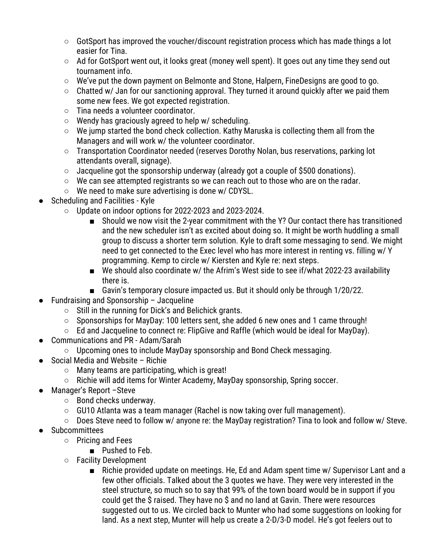- GotSport has improved the voucher/discount registration process which has made things a lot easier for Tina.
- Ad for GotSport went out, it looks great (money well spent). It goes out any time they send out tournament info.
- We've put the down payment on Belmonte and Stone, Halpern, FineDesigns are good to go.
- Chatted w/ Jan for our sanctioning approval. They turned it around quickly after we paid them some new fees. We got expected registration.
- Tina needs a volunteer coordinator.
- $\circ$  Wendy has graciously agreed to help w/ scheduling.
- We jump started the bond check collection. Kathy Maruska is collecting them all from the Managers and will work w/ the volunteer coordinator.
- Transportation Coordinator needed (reserves Dorothy Nolan, bus reservations, parking lot attendants overall, signage).
- $\circ$  Jacqueline got the sponsorship underway (already got a couple of \$500 donations).
- $\circ$  We can see attempted registrants so we can reach out to those who are on the radar.
- We need to make sure advertising is done w/ CDYSL.
- **Scheduling and Facilities Kyle** 
	- Update on indoor options for 2022-2023 and 2023-2024.
		- Should we now visit the 2-year commitment with the Y? Our contact there has transitioned and the new scheduler isn't as excited about doing so. It might be worth huddling a small group to discuss a shorter term solution. Kyle to draft some messaging to send. We might need to get connected to the Exec level who has more interest in renting vs. filling w/ Y programming. Kemp to circle w/ Kiersten and Kyle re: next steps.
		- We should also coordinate w/ the Afrim's West side to see if/what 2022-23 availability there is.
		- Gavin's temporary closure impacted us. But it should only be through 1/20/22.
- **Fundraising and Sponsorship Jacqueline** 
	- Still in the running for Dick's and Belichick grants.
	- Sponsorships for MayDay: 100 letters sent, she added 6 new ones and 1 came through!
	- Ed and Jacqueline to connect re: FlipGive and Raffle (which would be ideal for MayDay).
- Communications and PR Adam/Sarah
	- Upcoming ones to include MayDay sponsorship and Bond Check messaging.
- Social Media and Website Richie
	- Many teams are participating, which is great!
	- Richie will add items for Winter Academy, MayDay sponsorship, Spring soccer.
- Manager's Report Steve
	- Bond checks underway.
	- GU10 Atlanta was a team manager (Rachel is now taking over full management).
	- Does Steve need to follow w/ anyone re: the MayDay registration? Tina to look and follow w/ Steve.
- Subcommittees
	- Pricing and Fees
		- Pushed to Feb.
	- Facility Development
		- Richie provided update on meetings. He, Ed and Adam spent time w/ Supervisor Lant and a few other officials. Talked about the 3 quotes we have. They were very interested in the steel structure, so much so to say that 99% of the town board would be in support if you could get the \$ raised. They have no \$ and no land at Gavin. There were resources suggested out to us. We circled back to Munter who had some suggestions on looking for land. As a next step, Munter will help us create a 2-D/3-D model. He's got feelers out to